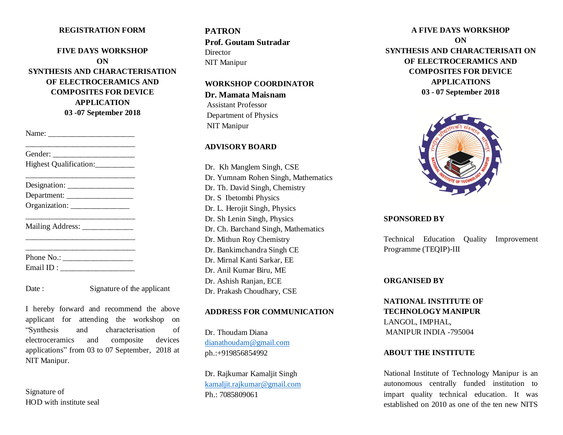## **REGISTRATION FORM**

**FIVE DAYS WORKSHOP ON SYNTHESIS AND CHARACTERISATION OF ELECTROCERAMICS AND COMPOSITES FOR DEVICE APPLICATION 03 -07 September 2018**

Name: \_\_\_\_\_\_\_\_\_\_\_\_\_\_\_\_\_\_\_\_\_\_

| Highest Qualification:_________ |  |
|---------------------------------|--|
|                                 |  |
| Department: __________________  |  |
|                                 |  |
| Mailing Address: _____________  |  |
|                                 |  |
| Phone No.: $\frac{1}{2}$        |  |
|                                 |  |

Date : Signature of the applicant

I hereby forward and recommend the above applicant for attending the workshop on "Synthesis and characterisation of electroceramics and composite devices applications" from 03 to 07 September, 2018 at NIT Manipur.

Signature of HOD with institute seal **PATRON Prof. Goutam Sutradar Director** NIT Manipur

#### **WORKSHOP COORDINATOR**

**Dr. Mamata Maisnam**  Assistant Professor Department of Physics NIT Manipur

## **ADVISORY BOARD**

Dr. Kh Manglem Singh, CSE Dr. Yumnam Rohen Singh, Mathematics Dr. Th. David Singh, Chemistry Dr. S Ibetombi Physics Dr. L. Herojit Singh, Physics Dr. Sh Lenin Singh, Physics Dr. Ch. Barchand Singh, Mathematics Dr. Mithun Roy Chemistry Dr. Bankimchandra Singh CE Dr. Mirnal Kanti Sarkar, EE Dr. Anil Kumar Biru, ME Dr. Ashish Ranjan, ECE Dr. Prakash Choudhary, CSE

### **ADDRESS FOR COMMUNICATION**

Dr. Thoudam Diana [dianathoudam@gmail.com](mailto:dianathoudam@gmail.com) ph.:+919856854992

Dr. Rajkumar Kamaljit Singh [kamaljit.rajkumar@gmail.com](mailto:kamaljit.rajkumar@gmail.com) Ph.: 7085809061

**A FIVE DAYS WORKSHOP ON SYNTHESIS AND CHARACTERISATI ON OF ELECTROCERAMICS AND COMPOSITES FOR DEVICE APPLICATIONS 03 - 07 September 2018**



### **SPONSORED BY**

Technical Education Quality Improvement Programme (TEQIP)-III

# **ORGANISED BY**

**NATIONAL INSTITUTE OF TECHNOLOGY MANIPUR** LANGOL, IMPHAL, MANIPUR INDIA -795004

### **ABOUT THE INSTITUTE**

National Institute of Technology Manipur is an autonomous centrally funded institution to impart quality technical education. It was established on 2010 as one of the ten new NITS